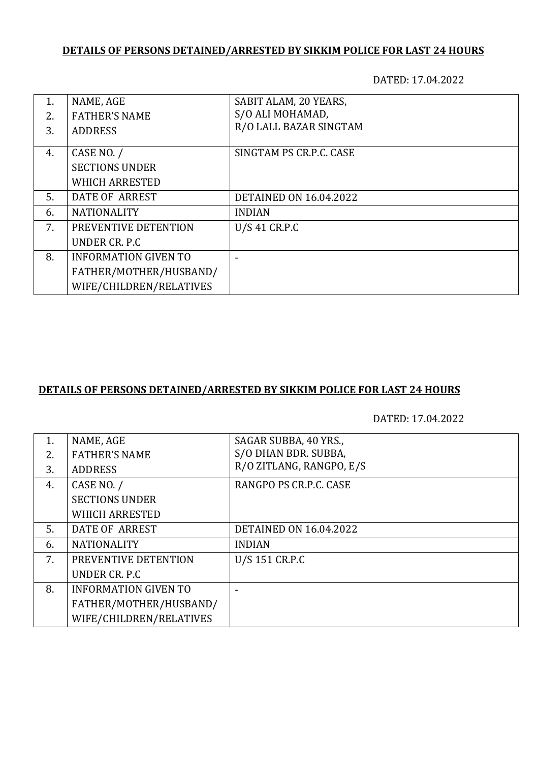## **DETAILS OF PERSONS DETAINED/ARRESTED BY SIKKIM POLICE FOR LAST 24 HOURS**

DATED: 17.04.2022

| 1. | NAME, AGE                   | SABIT ALAM, 20 YEARS,         |
|----|-----------------------------|-------------------------------|
| 2. | <b>FATHER'S NAME</b>        | S/O ALI MOHAMAD,              |
| 3. | <b>ADDRESS</b>              | R/O LALL BAZAR SINGTAM        |
|    |                             |                               |
| 4. | CASE NO. /                  | SINGTAM PS CR.P.C. CASE       |
|    | <b>SECTIONS UNDER</b>       |                               |
|    | <b>WHICH ARRESTED</b>       |                               |
| 5. | DATE OF ARREST              | <b>DETAINED ON 16.04.2022</b> |
| 6. | <b>NATIONALITY</b>          | <b>INDIAN</b>                 |
| 7. | PREVENTIVE DETENTION        | U/S 41 CR.P.C                 |
|    | UNDER CR. P.C.              |                               |
| 8. | <b>INFORMATION GIVEN TO</b> |                               |
|    | FATHER/MOTHER/HUSBAND/      |                               |
|    | WIFE/CHILDREN/RELATIVES     |                               |

## **DETAILS OF PERSONS DETAINED/ARRESTED BY SIKKIM POLICE FOR LAST 24 HOURS**

DATED: 17.04.2022

| NAME, AGE                   | SAGAR SUBBA, 40 YRS.,         |
|-----------------------------|-------------------------------|
| <b>FATHER'S NAME</b>        | S/O DHAN BDR. SUBBA,          |
| <b>ADDRESS</b>              | R/O ZITLANG, RANGPO, E/S      |
| CASE NO. /                  | RANGPO PS CR.P.C. CASE        |
| <b>SECTIONS UNDER</b>       |                               |
| WHICH ARRESTED              |                               |
| DATE OF ARREST              | <b>DETAINED ON 16.04.2022</b> |
| <b>NATIONALITY</b>          | <b>INDIAN</b>                 |
| PREVENTIVE DETENTION        | U/S 151 CR.P.C                |
| UNDER CR. P.C.              |                               |
| <b>INFORMATION GIVEN TO</b> |                               |
| FATHER/MOTHER/HUSBAND/      |                               |
| WIFE/CHILDREN/RELATIVES     |                               |
|                             |                               |